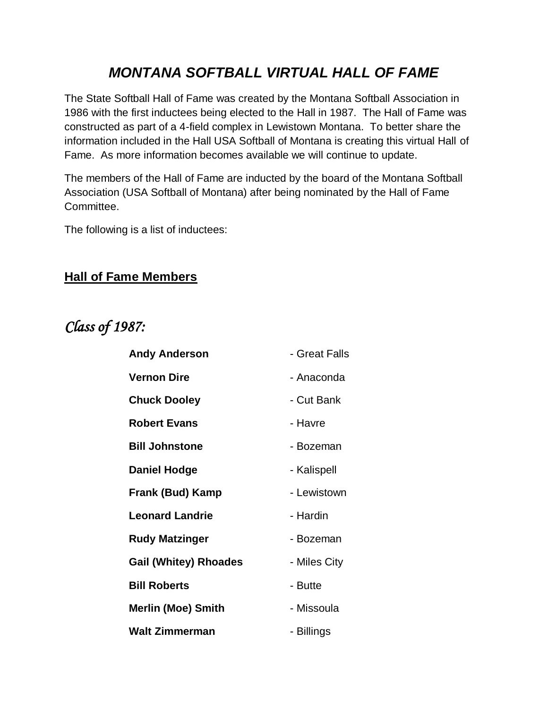### *MONTANA SOFTBALL VIRTUAL HALL OF FAME*

The State Softball Hall of Fame was created by the Montana Softball Association in 1986 with the first inductees being elected to the Hall in 1987. The Hall of Fame was constructed as part of a 4-field complex in Lewistown Montana. To better share the information included in the Hall USA Softball of Montana is creating this virtual Hall of Fame. As more information becomes available we will continue to update.

The members of the Hall of Fame are inducted by the board of the Montana Softball Association (USA Softball of Montana) after being nominated by the Hall of Fame Committee.

The following is a list of inductees:

#### **Hall of Fame Members**

### *Class of 1987:*

| <b>Andy Anderson</b>         | - Great Falls |
|------------------------------|---------------|
| <b>Vernon Dire</b>           | - Anaconda    |
| <b>Chuck Dooley</b>          | - Cut Bank    |
| <b>Robert Evans</b>          | - Havre       |
| <b>Bill Johnstone</b>        | - Bozeman     |
| <b>Daniel Hodge</b>          | - Kalispell   |
| Frank (Bud) Kamp             | - Lewistown   |
| <b>Leonard Landrie</b>       | - Hardin      |
| <b>Rudy Matzinger</b>        | - Bozeman     |
| <b>Gail (Whitey) Rhoades</b> | - Miles City  |
| <b>Bill Roberts</b>          | - Butte       |
| <b>Merlin (Moe) Smith</b>    | - Missoula    |
| Walt Zimmerman               | - Billings    |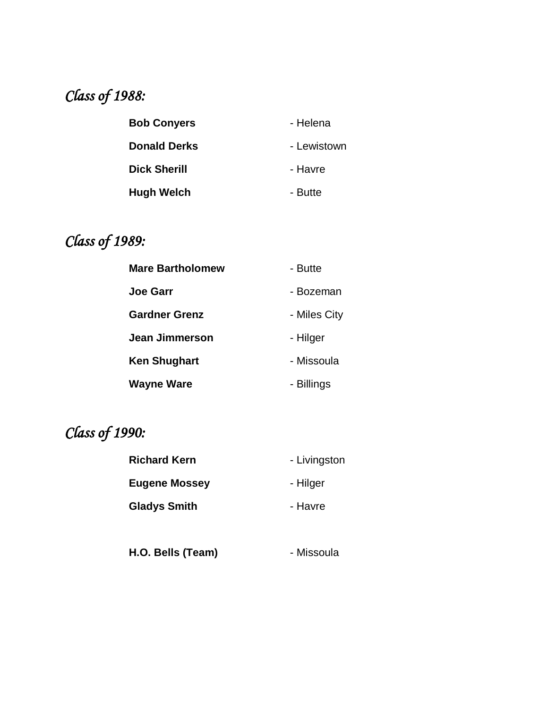## *Class of 1988:*

| <b>Bob Conyers</b>  | - Helena    |
|---------------------|-------------|
| <b>Donald Derks</b> | - Lewistown |
| <b>Dick Sherill</b> | - Havre     |
| <b>Hugh Welch</b>   | - Butte     |

# *Class of 1989:*

| <b>Mare Bartholomew</b> | - Butte      |
|-------------------------|--------------|
| <b>Joe Garr</b>         | - Bozeman    |
| <b>Gardner Grenz</b>    | - Miles City |
| Jean Jimmerson          | - Hilger     |
| <b>Ken Shughart</b>     | - Missoula   |
| <b>Wayne Ware</b>       | - Billings   |

# *Class of 1990:*

| <b>Richard Kern</b>  | - Livingston |
|----------------------|--------------|
| <b>Eugene Mossey</b> | - Hilger     |
| <b>Gladys Smith</b>  | - Havre      |

**H.O. Bells (Team)** Family - Missoula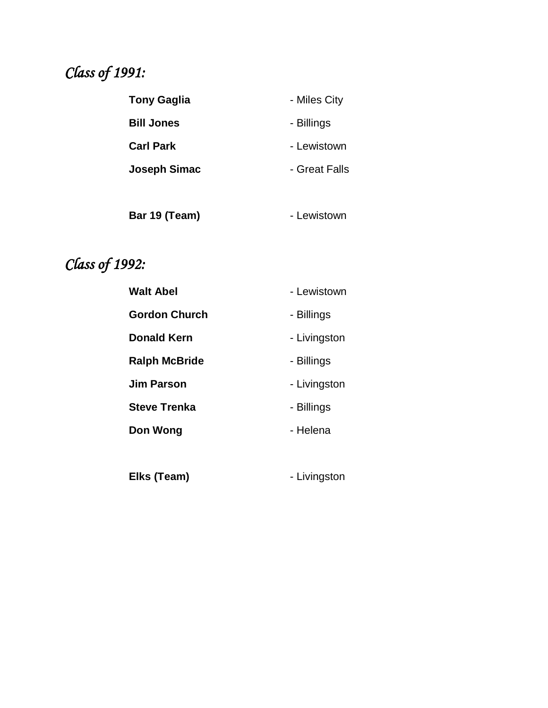## *Class of 1991:*

| <b>Tony Gaglia</b>  | - Miles City  |
|---------------------|---------------|
| <b>Bill Jones</b>   | - Billings    |
| <b>Carl Park</b>    | - Lewistown   |
| <b>Joseph Simac</b> | - Great Falls |
|                     |               |

Bar 19 (Team) **- Lewistown** 

## *Class of 1992:*

| <b>Walt Abel</b>     | - Lewistown  |
|----------------------|--------------|
| <b>Gordon Church</b> | - Billings   |
| <b>Donald Kern</b>   | - Livingston |
| <b>Ralph McBride</b> | - Billings   |
| <b>Jim Parson</b>    | - Livingston |
| <b>Steve Trenka</b>  | - Billings   |
| Don Wong             | - Helena     |
|                      |              |
| Elks (Team)          | - Livingston |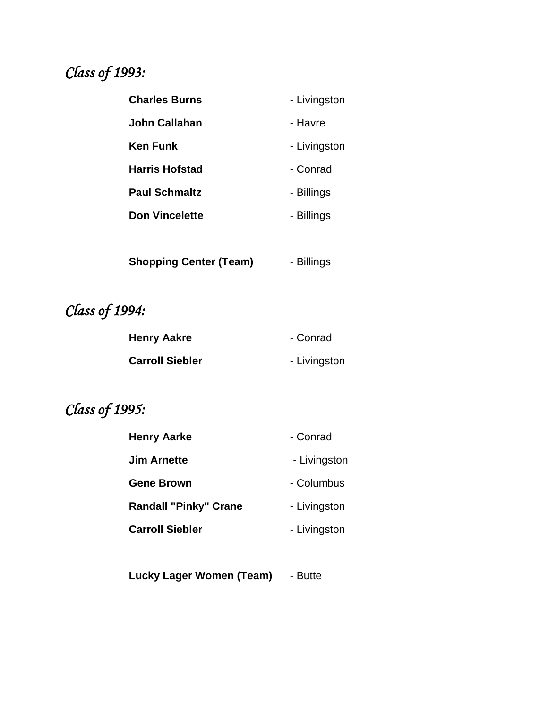## *Class of 1993:*

| <b>Charles Burns</b>  | - Livingston |
|-----------------------|--------------|
| <b>John Callahan</b>  | - Havre      |
| Ken Funk              | - Livingston |
| <b>Harris Hofstad</b> | - Conrad     |
| <b>Paul Schmaltz</b>  | - Billings   |
| <b>Don Vincelette</b> | - Billings   |
|                       |              |
|                       |              |

**Shopping Center (Team)** - Billings

*Class of 1994:*

| <b>Henry Aakre</b>     | - Conrad     |
|------------------------|--------------|
| <b>Carroll Siebler</b> | - Livingston |

## *Class of 1995:*

| <b>Henry Aarke</b>           | - Conrad     |
|------------------------------|--------------|
| <b>Jim Arnette</b>           | - Livingston |
| <b>Gene Brown</b>            | - Columbus   |
| <b>Randall "Pinky" Crane</b> | - Livingston |
| <b>Carroll Siebler</b>       | - Livingston |
|                              |              |

**Lucky Lager Women (Team)** - Butte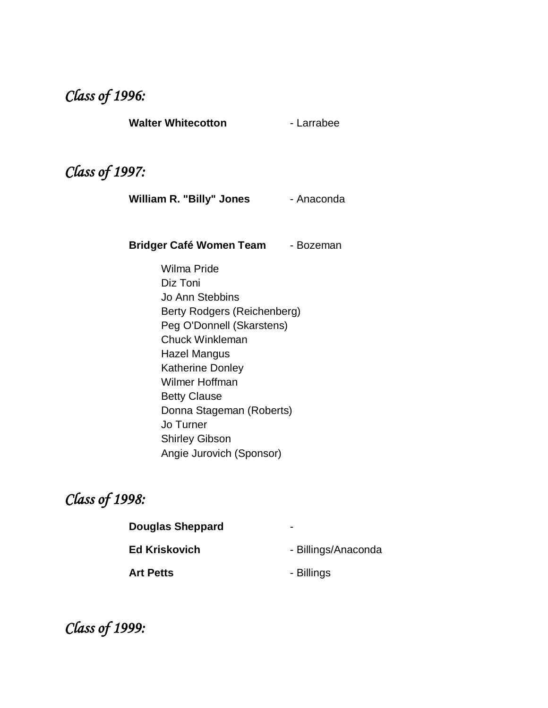#### *Class of 1996:*

**Walter Whitecotton** - Larrabee

### *Class of 1997:*

William R. "Billy" Jones - Anaconda

**Bridger Café Women Team - Bozeman** 

Wilma Pride Diz Toni Jo Ann Stebbins Berty Rodgers (Reichenberg) Peg O'Donnell (Skarstens) Chuck Winkleman Hazel Mangus Katherine Donley Wilmer Hoffman Betty Clause Donna Stageman (Roberts) Jo Turner Shirley Gibson Angie Jurovich (Sponsor)

#### *Class of 1998:*

| <b>Douglas Sheppard</b> | -                   |
|-------------------------|---------------------|
| <b>Ed Kriskovich</b>    | - Billings/Anaconda |

Art Petts **and Art Petts - Billings** 

*Class of 1999:*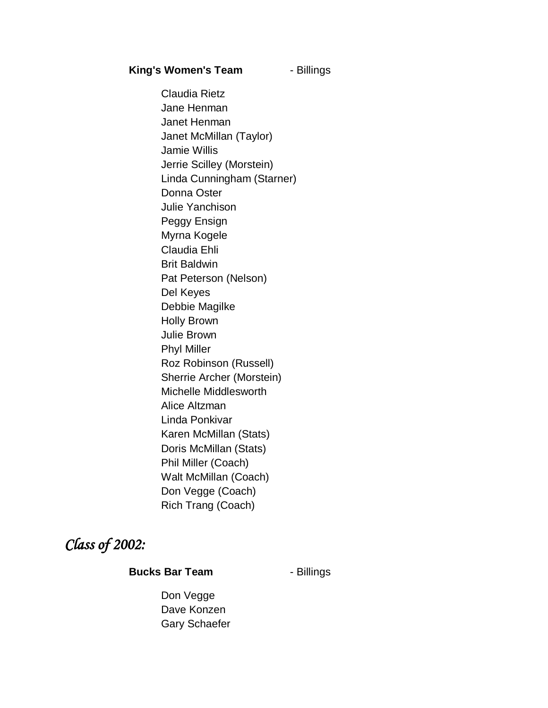#### **King's Women's Team** - Billings

Claudia Rietz Jane Henman Janet Henman Janet McMillan (Taylor) Jamie Willis Jerrie Scilley (Morstein) Linda Cunningham (Starner) Donna Oster Julie Yanchison Peggy Ensign Myrna Kogele Claudia Ehli Brit Baldwin Pat Peterson (Nelson) Del Keyes Debbie Magilke Holly Brown Julie Brown Phyl Miller Roz Robinson (Russell) Sherrie Archer (Morstein) Michelle Middlesworth Alice Altzman Linda Ponkivar Karen McMillan (Stats) Doris McMillan (Stats) Phil Miller (Coach) Walt McMillan (Coach) Don Vegge (Coach) Rich Trang (Coach)

#### *Class of 2002:*

#### **Bucks Bar Team** - Billings

Don Vegge Dave Konzen Gary Schaefer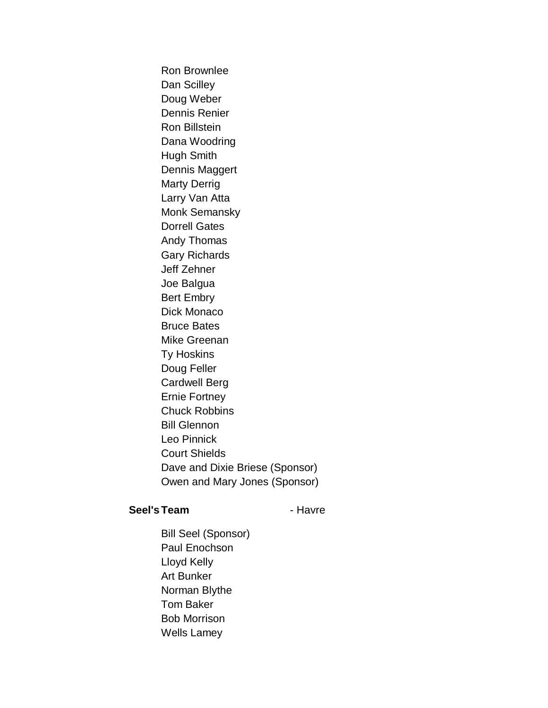Ron Brownlee Dan Scilley Doug Weber Dennis Renier Ron Billstein Dana Woodring Hugh Smith Dennis Maggert Marty Derrig Larry Van Atta Monk Semansky Dorrell Gates Andy Thomas Gary Richards Jeff Zehner Joe Balgua Bert Embry Dick Monaco Bruce Bates Mike Greenan Ty Hoskins Doug Feller Cardwell Berg Ernie Fortney Chuck Robbins Bill Glennon Leo Pinnick Court Shields Dave and Dixie Briese (Sponsor) Owen and Mary Jones (Sponsor)

#### Seel's Team **- Havre**

Bill Seel (Sponsor) Paul Enochson Lloyd Kelly Art Bunker Norman Blythe Tom Baker Bob Morrison Wells Lamey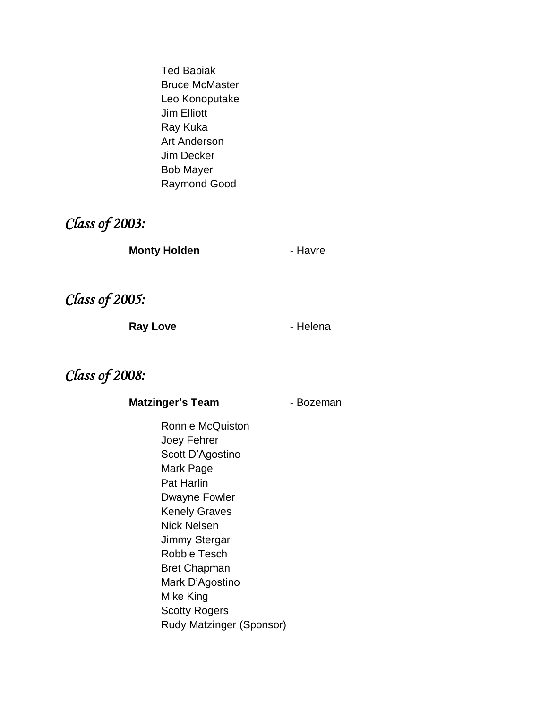Ted Babiak Bruce McMaster Leo Konoputake Jim Elliott Ray Kuka Art Anderson Jim Decker Bob Mayer Raymond Good

#### *Class of 2003:*

**Monty Holden Contract Extending Figure** - Havre

*Class of 2005:*

Ray Love **Contact Accord Figure 2** - Helena

### *Class of 2008:*

**Matzinger's Team** Faceman

Ronnie McQuiston Joey Fehrer Scott D'Agostino Mark Page Pat Harlin Dwayne Fowler Kenely Graves Nick Nelsen Jimmy Stergar Robbie Tesch Bret Chapman Mark D'Agostino Mike King Scotty Rogers Rudy Matzinger (Sponsor)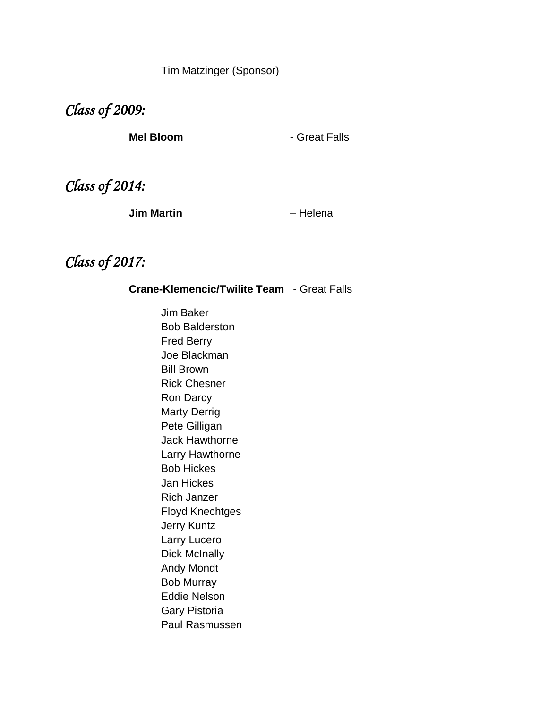Tim Matzinger (Sponsor)

*Class of 2009:* 

**Mel Bloom Contract Falls** 

*Class of 2014:*

**Jim Martin** – Helena

### *Class of 2017:*

**Crane-Klemencic/Twilite Team** - Great Falls

Jim Baker Bob Balderston Fred Berry Joe Blackman Bill Brown Rick Chesner Ron Darcy Marty Derrig Pete Gilligan Jack Hawthorne Larry Hawthorne Bob Hickes Jan Hickes Rich Janzer Floyd Knechtges Jerry Kuntz Larry Lucero Dick McInally Andy Mondt Bob Murray Eddie Nelson Gary Pistoria Paul Rasmussen